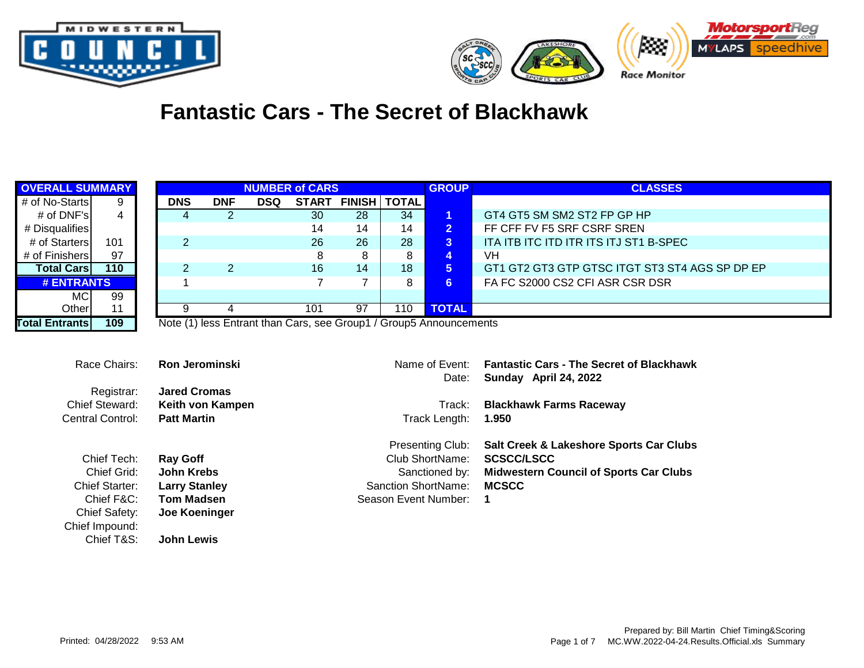



## **Fantastic Cars - The Secret of Blackhawk**

| <b>OVERALL SUMMARY</b>  |                |                                              |                | <b>NUMBER of CARS</b> |                |                    |     | <b>GROUP</b>                                                       | <b>CLASSES</b>                                                           |
|-------------------------|----------------|----------------------------------------------|----------------|-----------------------|----------------|--------------------|-----|--------------------------------------------------------------------|--------------------------------------------------------------------------|
| # of No-Starts          | 9              | <b>DNS</b>                                   | <b>DNF</b>     | <b>DSQ</b>            |                | START FINISH TOTAL |     |                                                                    |                                                                          |
| # of DNF's              | $\overline{4}$ | 4                                            | $\overline{2}$ |                       | 30             | 28                 | 34  | $\mathbf 1$                                                        | GT4 GT5 SM SM2 ST2 FP GP HP                                              |
| # Disqualifies          |                |                                              |                |                       | 14             | 14                 | 14  | 2 <sub>1</sub>                                                     | FF CFF FV F5 SRF CSRF SREN                                               |
| # of Starters           | 101            | $\overline{2}$                               |                |                       | 26             | 26                 | 28  | $\overline{3}$                                                     | ITA ITB ITC ITD ITR ITS ITJ ST1 B-SPEC                                   |
| # of Finishers          | 97             |                                              |                |                       | 8              | 8                  | 8   | 4                                                                  | <b>VH</b>                                                                |
| <b>Total Cars</b>       | 110            | $\overline{c}$                               | $\overline{2}$ |                       | 16             | 14                 | 18  | 5 <sup>1</sup>                                                     | GT1 GT2 GT3 GTP GTSC ITGT ST3 ST4 AGS SP DP EP                           |
| <b># ENTRANTS</b>       |                |                                              |                |                       | $\overline{7}$ | $\overline{7}$     | 8   | 6 <sup>1</sup>                                                     | FA FC S2000 CS2 CFI ASR CSR DSR                                          |
| <b>MC</b>               | 99             |                                              |                |                       |                |                    |     |                                                                    |                                                                          |
| Other                   | 11             | 9                                            | 4              |                       | 101            | 97                 | 110 | <b>TOTAL</b>                                                       |                                                                          |
| <b>Total Entrants</b>   | 109            |                                              |                |                       |                |                    |     | Note (1) less Entrant than Cars, see Group1 / Group5 Announcements |                                                                          |
| Race Chairs:            | Registrar:     | <b>Ron Jerominski</b><br><b>Jared Cromas</b> |                |                       |                |                    |     | Name of Event:<br>Date:                                            | <b>Fantastic Cars - The Secret of Blackhawk</b><br>Sunday April 24, 2022 |
| Chief Steward:          |                |                                              |                |                       |                |                    |     | Track:                                                             |                                                                          |
| <b>Central Control:</b> |                | Keith von Kampen<br><b>Patt Martin</b>       |                |                       |                |                    |     | Track Length:                                                      | <b>Blackhawk Farms Raceway</b><br>1.950                                  |
|                         |                |                                              |                |                       |                |                    |     |                                                                    |                                                                          |
|                         |                |                                              |                |                       |                |                    |     | Presenting Club:                                                   | Salt Creek & Lakeshore Sports Car Clubs                                  |
| Chief Tech:             |                | <b>Ray Goff</b>                              |                |                       |                |                    |     | Club ShortName:                                                    | <b>SCSCC/LSCC</b>                                                        |
|                         | Chief Grid:    | <b>John Krebs</b>                            |                |                       |                |                    |     | Sanctioned by:                                                     | <b>Midwestern Council of Sports Car Clubs</b>                            |
| <b>Chief Starter:</b>   |                | <b>Larry Stanley</b>                         |                |                       |                |                    |     | <b>Sanction ShortName:</b>                                         | <b>MCSCC</b>                                                             |
|                         | Chief F&C:     | <b>Tom Madsen</b>                            |                |                       |                |                    |     | Season Event Number:                                               | 1                                                                        |
| <b>Chief Safety:</b>    |                | Joe Koeninger                                |                |                       |                |                    |     |                                                                    |                                                                          |
| Chief Impound:          |                |                                              |                |                       |                |                    |     |                                                                    |                                                                          |
|                         | Chief T&S:     | <b>John Lewis</b>                            |                |                       |                |                    |     |                                                                    |                                                                          |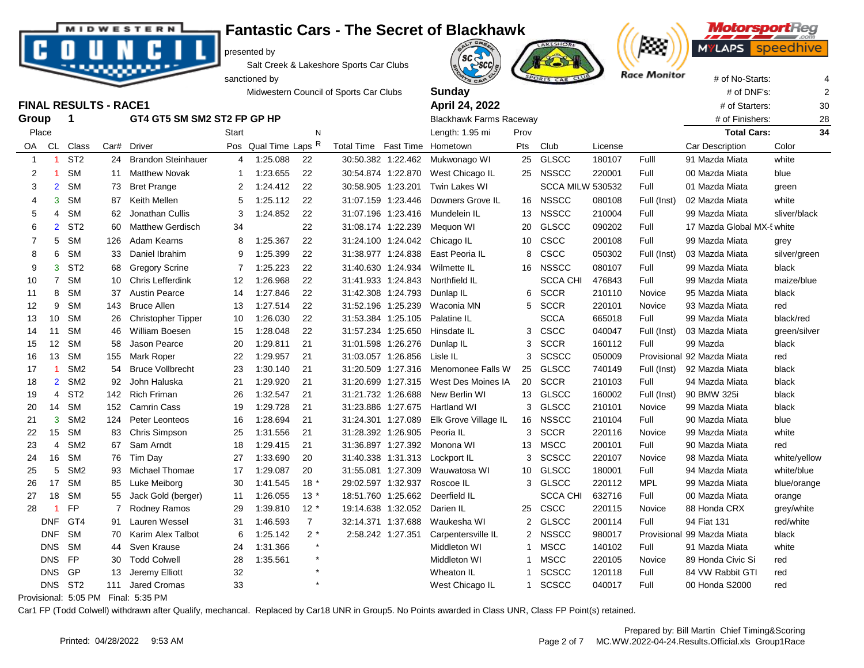

**Fantastic Cars - The Secret of Blackhawk MIDWESTERN** 

presented by

Salt Creek & Lakeshore Sports Car Clubs





**MotorsportReg** speedhi

|                   |                      |                              |     |                             |                   | sanctioned by    |                |                                        |                    | <b>ATS CAR</b>                 |              | PORTS CAR CLUB          |         | nace monitor | # of No-Starts:            |              |    |
|-------------------|----------------------|------------------------------|-----|-----------------------------|-------------------|------------------|----------------|----------------------------------------|--------------------|--------------------------------|--------------|-------------------------|---------|--------------|----------------------------|--------------|----|
|                   |                      |                              |     |                             |                   |                  |                | Midwestern Council of Sports Car Clubs |                    | Sunday                         |              |                         |         |              | # of DNF's:                |              |    |
|                   |                      | <b>FINAL RESULTS - RACE1</b> |     |                             |                   |                  |                |                                        |                    | April 24, 2022                 |              |                         |         |              | # of Starters:             |              | 30 |
| Group             |                      | $\mathbf 1$                  |     | GT4 GT5 SM SM2 ST2 FP GP HP |                   |                  |                |                                        |                    | <b>Blackhawk Farms Raceway</b> |              |                         |         |              | # of Finishers:            |              | 28 |
| Place             |                      |                              |     |                             | Start             |                  | N              |                                        |                    | Length: 1.95 mi                | Prov         |                         |         |              | <b>Total Cars:</b>         |              | 34 |
| OA                | CL                   | Class                        |     | Car# Driver                 | Pos               | Qual Time Laps R |                | Total Time Fast Time                   |                    | Hometown                       | Pts          | Club                    | License |              | Car Description            | Color        |    |
| $\overline{1}$    |                      | ST <sub>2</sub>              | 24  | <b>Brandon Steinhauer</b>   | 4                 | 1:25.088         | 22             |                                        | 30:50.382 1:22.462 | Mukwonago WI                   | 25           | GLSCC                   | 180107  | Fulll        | 91 Mazda Miata             | white        |    |
| 2                 | -1                   | <b>SM</b>                    | 11  | <b>Matthew Novak</b>        | -1                | 1:23.655         | 22             |                                        | 30:54.874 1:22.870 | West Chicago IL                |              | 25 NSSCC                | 220001  | Full         | 00 Mazda Miata             | blue         |    |
| 3                 | $\overline{2}$       | <b>SM</b>                    | 73  | <b>Bret Prange</b>          | $\overline{2}$    | 1:24.412         | 22             |                                        | 30:58.905 1:23.201 | Twin Lakes WI                  |              | <b>SCCA MILW 530532</b> |         | Full         | 01 Mazda Miata             | green        |    |
| 4                 | 3                    | <b>SM</b>                    | 87  | Keith Mellen                | 5                 | 1:25.112         | 22             |                                        | 31:07.159 1:23.446 | Downers Grove IL               |              | 16 NSSCC                | 080108  | Full (Inst)  | 02 Mazda Miata             | white        |    |
| 5                 | 4                    | <b>SM</b>                    | 62  | Jonathan Cullis             | 3                 | 1:24.852         | 22             |                                        | 31:07.196 1:23.416 | Mundelein IL                   | 13           | <b>NSSCC</b>            | 210004  | Full         | 99 Mazda Miata             | sliver/black |    |
| 6                 | $\overline{2}$       | ST <sub>2</sub>              | 60  | <b>Matthew Gerdisch</b>     | 34                |                  | 22             |                                        | 31:08.174 1:22.239 | Mequon WI                      | 20           | GLSCC                   | 090202  | Full         | 17 Mazda Global MX-! white |              |    |
| 7                 | 5                    | <b>SM</b>                    | 126 | Adam Kearns                 | 8                 | 1:25.367         | 22             |                                        |                    | 31:24.100 1:24.042 Chicago IL  |              | 10 CSCC                 | 200108  | Full         | 99 Mazda Miata             | grey         |    |
| 8                 | 6                    | <b>SM</b>                    | 33  | Daniel Ibrahim              | 9                 | 1:25.399         | 22             |                                        | 31:38.977 1:24.838 | East Peoria IL                 | 8            | CSCC                    | 050302  | Full (Inst)  | 03 Mazda Miata             | silver/green |    |
| 9                 | 3                    | ST <sub>2</sub>              |     | 68 Gregory Scrine           | $\overline{7}$    | 1:25.223         | 22             |                                        | 31:40.630 1:24.934 | Wilmette IL                    |              | 16 NSSCC                | 080107  | Full         | 99 Mazda Miata             | black        |    |
| 10                | $\overline{7}$       | <b>SM</b>                    | 10  | <b>Chris Lefferdink</b>     | $12 \overline{ }$ | 1:26.968         | 22             |                                        | 31:41.933 1:24.843 | Northfield IL                  |              | <b>SCCA CHI</b>         | 476843  | Full         | 99 Mazda Miata             | maize/blue   |    |
| 11                | 8                    | <b>SM</b>                    | 37  | <b>Austin Pearce</b>        | 14                | 1:27.846         | 22             |                                        | 31:42.308 1:24.793 | Dunlap IL                      |              | 6 SCCR                  | 210110  | Novice       | 95 Mazda Miata             | black        |    |
| $12 \overline{ }$ | 9                    | <b>SM</b>                    | 143 | <b>Bruce Allen</b>          | 13                | 1:27.514         | 22             |                                        | 31:52.196 1:25.239 | Waconia MN                     |              | 5 SCCR                  | 220101  | Novice       | 93 Mazda Miata             | red          |    |
| 13                | 10                   | <b>SM</b>                    | 26  | <b>Christopher Tipper</b>   | 10                | 1:26.030         | 22             |                                        | 31:53.384 1:25.105 | Palatine IL                    |              | <b>SCCA</b>             | 665018  | Full         | 99 Mazda Miata             | black/red    |    |
| 14                | 11                   | <b>SM</b>                    | 46  | <b>William Boesen</b>       | 15                | 1:28.048         | 22             |                                        | 31:57.234 1:25.650 | Hinsdate IL                    |              | 3 CSCC                  | 040047  | Full (Inst)  | 03 Mazda Miata             | green/silver |    |
| 15                | 12                   | <b>SM</b>                    | 58  | Jason Pearce                | 20                | 1:29.811         | 21             |                                        | 31:01.598 1:26.276 | Dunlap IL                      |              | 3 SCCR                  | 160112  | Full         | 99 Mazda                   | black        |    |
| 16                | 13                   | <b>SM</b>                    | 155 | Mark Roper                  | 22                | 1:29.957         | 21             |                                        | 31:03.057 1:26.856 | Lisle IL                       | 3            | <b>SCSCC</b>            | 050009  |              | Provisional 92 Mazda Miata | red          |    |
| 17                | $\overline{1}$       | SM <sub>2</sub>              | 54  | <b>Bruce Vollbrecht</b>     | 23                | 1:30.140         | 21             |                                        | 31:20.509 1:27.316 | Menomonee Falls W              | 25           | <b>GLSCC</b>            | 740149  | Full (Inst)  | 92 Mazda Miata             | black        |    |
| 18                | $\overline{2}$       | SM <sub>2</sub>              | 92  | John Haluska                | 21                | 1:29.920         | 21             |                                        | 31:20.699 1:27.315 | West Des Moines IA             |              | 20 SCCR                 | 210103  | Full         | 94 Mazda Miata             | black        |    |
| 19                | 4                    | ST <sub>2</sub>              | 142 | <b>Rich Friman</b>          | 26                | 1:32.547         | 21             |                                        | 31:21.732 1:26.688 | New Berlin WI                  |              | 13 GLSCC                | 160002  | Full (Inst)  | 90 BMW 325i                | black        |    |
| 20                | 14                   | <b>SM</b>                    | 152 | <b>Camrin Cass</b>          | 19                | 1:29.728         | 21             |                                        | 31:23.886 1:27.675 | <b>Hartland WI</b>             | 3            | <b>GLSCC</b>            | 210101  | Novice       | 99 Mazda Miata             | black        |    |
| 21                | 3                    | SM <sub>2</sub>              | 124 | Peter Leonteos              | 16                | 1:28.694         | 21             |                                        | 31:24.301 1:27.089 | Elk Grove Village IL           |              | 16 NSSCC                | 210104  | Full         | 90 Mazda Miata             | blue         |    |
| 22                | 15                   | <b>SM</b>                    | 83  | Chris Simpson               | 25                | 1:31.556         | 21             |                                        | 31:28.392 1:26.905 | Peoria IL                      | 3            | <b>SCCR</b>             | 220116  | Novice       | 99 Mazda Miata             | white        |    |
| 23                | 4                    | SM <sub>2</sub>              | 67  | Sam Arndt                   | 18                | 1:29.415         | 21             |                                        | 31:36.897 1:27.392 | Monona WI                      | 13           | <b>MSCC</b>             | 200101  | Full         | 90 Mazda Miata             | red          |    |
| 24                | 16                   | <b>SM</b>                    | 76  | Tim Day                     | 27                | 1:33.690         | 20             |                                        | 31:40.338 1:31.313 | Lockport IL                    | 3            | <b>SCSCC</b>            | 220107  | Novice       | 98 Mazda Miata             | white/yellow |    |
| 25                | 5                    | SM <sub>2</sub>              |     | 93 Michael Thomae           | 17                | 1:29.087         | 20             |                                        | 31:55.081 1:27.309 | Wauwatosa WI                   |              | 10 GLSCC                | 180001  | Full         | 94 Mazda Miata             | white/blue   |    |
| 26                | 17                   | <b>SM</b>                    | 85  | Luke Meiborg                | 30                | 1.41.545         | $18*$          |                                        | 29:02.597 1:32.937 | Roscoe IL                      |              | 3 GLSCC                 | 220112  | <b>MPL</b>   | 99 Mazda Miata             | blue/orange  |    |
| 27                | 18                   | <b>SM</b>                    | 55  | Jack Gold (berger)          | 11                | 1:26.055         | $13*$          |                                        | 18:51.760 1:25.662 | Deerfield IL                   |              | <b>SCCA CHI</b>         | 632716  | Full         | 00 Mazda Miata             | orange       |    |
| 28                | $\blacktriangleleft$ | <b>FP</b>                    | 7   | Rodney Ramos                | 29                | 1:39.810         | $12 *$         |                                        | 19:14.638 1:32.052 | Darien IL                      | 25           | <b>CSCC</b>             | 220115  | Novice       | 88 Honda CRX               | grey/white   |    |
|                   | <b>DNF</b>           | GT <sub>4</sub>              | 91  | Lauren Wessel               | 31                | 1:46.593         | $\overline{7}$ |                                        | 32:14.371 1:37.688 | Waukesha WI                    |              | 2 GLSCC                 | 200114  | Full         | 94 Fiat 131                | red/white    |    |
|                   | <b>DNF</b>           | <b>SM</b>                    | 70  | Karim Alex Talbot           | 6                 | 1:25.142         | $2*$           |                                        | 2:58.242 1:27.351  | Carpentersville IL             |              | 2 NSSCC                 | 980017  | Provisional  | 99 Mazda Miata             | black        |    |
|                   | <b>DNS</b>           | <b>SM</b>                    | 44  | Sven Krause                 | 24                | 1:31.366         | $\star$        |                                        |                    | Middleton WI                   |              | 1 MSCC                  | 140102  | Full         | 91 Mazda Miata             | white        |    |
|                   | <b>DNS</b>           | <b>FP</b>                    | 30  | <b>Todd Colwell</b>         | 28                | 1:35.561         | $\star$        |                                        |                    | Middleton WI                   | $\mathbf{1}$ | <b>MSCC</b>             | 220105  | Novice       | 89 Honda Civic Si          | red          |    |
|                   | <b>DNS</b>           | GP                           | 13  | Jeremy Elliott              | 32                |                  | $\star$        |                                        |                    | Wheaton IL                     | $\mathbf{1}$ | <b>SCSCC</b>            | 120118  | Full         | 84 VW Rabbit GTI           | red          |    |
|                   |                      | DNS ST2                      | 111 | <b>Jared Cromas</b>         | 33                |                  | $\star$        |                                        |                    | West Chicago IL                | 1            | <b>SCSCC</b>            | 040017  | Full         | 00 Honda S2000             | red          |    |

Provisional: 5:05 PM Final: 5:35 PM

Car1 FP (Todd Colwell) withdrawn after Qualify, mechancal. Replaced by Car18 UNR in Group5. No Points awarded in Class UNR, Class FP Point(s) retained.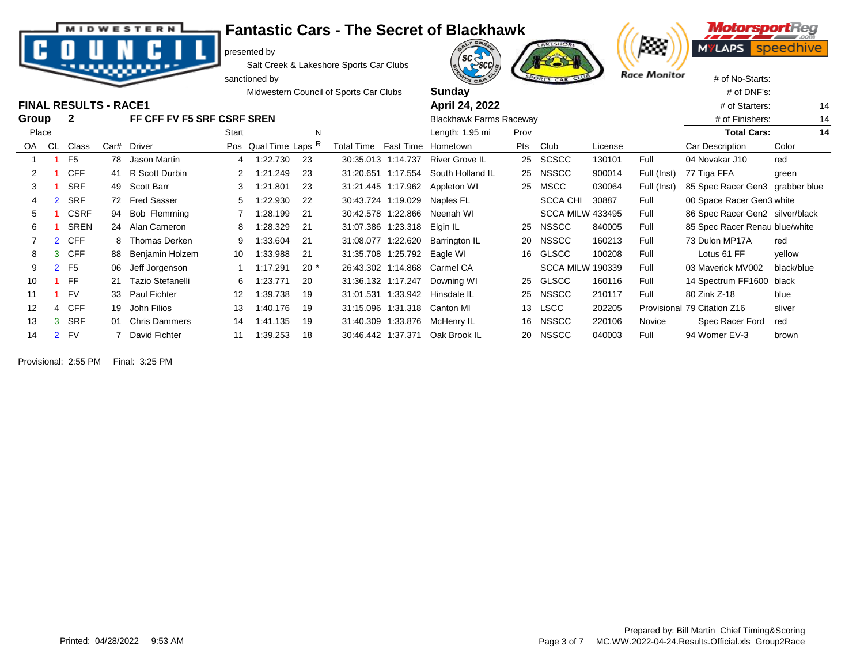**MIDWESTERN** 

## **Fantastic Cars - The Secret of Blackhawk**

presented by

Salt Creek & Lakeshore Sports Car Clubs





**FINAL RESULTS - RACE1** 

|       |                |                      |    |                            |                | sanctioned by        |       |                                        |                             | <b>ATS CAR</b>                      |      | SPORTS CAR CLUB         |         | <b>NGCE INIONITOR</b> | # of No-Starts:                 |            |
|-------|----------------|----------------------|----|----------------------------|----------------|----------------------|-------|----------------------------------------|-----------------------------|-------------------------------------|------|-------------------------|---------|-----------------------|---------------------------------|------------|
|       |                |                      |    |                            |                |                      |       | Midwestern Council of Sports Car Clubs |                             | <b>Sunday</b>                       |      |                         |         |                       | # of DNF's:                     |            |
|       |                | INAL RESULTS - RACE1 |    |                            |                |                      |       |                                        |                             | April 24, 2022                      |      |                         |         |                       | # of Starters:                  | 14         |
| iroup |                | 2                    |    | FF CFF FV F5 SRF CSRF SREN |                |                      |       |                                        |                             | <b>Blackhawk Farms Raceway</b>      |      |                         |         |                       | # of Finishers:                 | 14         |
| Place |                |                      |    |                            | Start          |                      | N     |                                        |                             | Length: 1.95 mi                     | Prov |                         |         |                       | <b>Total Cars:</b>              | 14         |
| OA CL |                | Class                |    | Car# Driver                |                | Pos Qual Time Laps R |       | Total Time Fast Time Hometown          |                             |                                     | Pts  | Club                    | License |                       | Car Description                 | Color      |
|       |                | F <sub>5</sub>       |    | 78 Jason Martin            | $\overline{4}$ | 1:22.730             | 23    |                                        |                             | 30:35.013 1:14.737 River Grove IL   |      | 25 SCSCC                | 130101  | Full                  | 04 Novakar J10                  | red        |
|       |                | <b>CFF</b>           |    | 41 R Scott Durbin          |                | 1:21.249             | 23    |                                        |                             | 31:20.651 1:17.554 South Holland IL |      | 25 NSSCC                | 900014  | Full (Inst)           | 77 Tiga FFA                     | green      |
| 3     |                | <b>SRF</b>           |    | 49 Scott Barr              |                | 1:21.801             | 23    |                                        |                             | 31:21.445 1:17.962 Appleton WI      | 25   | <b>MSCC</b>             | 030064  | Full (Inst)           | 85 Spec Racer Gen3 grabber blue |            |
| 4     |                | <b>SRF</b>           |    | 72 Fred Sasser             |                | 1:22.930             | 22    |                                        | 30:43.724 1:19.029          | Naples FL                           |      | <b>SCCA CHI</b>         | 30887   | Full                  | 00 Space Racer Gen3 white       |            |
| 5     |                | <b>CSRF</b>          |    | 94 Bob Flemming            |                | 1:28.199             | 21    |                                        | 30:42.578 1:22.866          | Neenah WI                           |      | <b>SCCA MILW 433495</b> |         | Full                  | 86 Spec Racer Gen2 silver/black |            |
| 6     |                | <b>SREN</b>          |    | 24 Alan Cameron            | 8              | 1:28.329             | 21    |                                        | 31:07.386 1:23.318 Elgin IL |                                     | 25   | <b>NSSCC</b>            | 840005  | Full                  | 85 Spec Racer Renau blue/white  |            |
|       |                | 2 CFF                |    | 8 Thomas Derken            | 9              | 1.33.604             | 21    |                                        | 31:08.077 1:22.620          | Barrington IL                       | 20   | <b>NSSCC</b>            | 160213  | Full                  | 73 Dulon MP17A                  | red        |
| 8     |                | 3 CFF                | 88 | Benjamin Holzem            | 10             | 1:33.988             | 21    |                                        | 31:35.708 1:25.792 Eagle WI |                                     | 16   | <b>GLSCC</b>            | 100208  | Full                  | Lotus 61 FF                     | yellow     |
| 9     | 2 <sup>1</sup> | F5                   | 06 | Jeff Jorgenson             |                | 1:17.291             | $20*$ |                                        |                             | 26:43.302 1:14.868 Carmel CA        |      | <b>SCCA MILW 190339</b> |         | Full                  | 03 Maverick MV002               | black/blue |
| 10    |                | FF                   | 21 | Tazio Stefanelli           | 6              | 1:23.771             | 20    |                                        | 31:36.132 1:17.247          | Downing WI                          | 25   | <b>GLSCC</b>            | 160116  | Full                  | 14 Spectrum FF1600 black        |            |
| 11    |                | <b>FV</b>            | 33 | <b>Paul Fichter</b>        | 12             | 1:39.738             | 19    |                                        | 31:01.531 1:33.942          | Hinsdale IL                         | 25   | <b>NSSCC</b>            | 210117  | Full                  | 80 Zink Z-18                    | blue       |
| 12    |                | 4 CFF                | 19 | John Filios                | 13             | 1:40.176             | 19    |                                        |                             | 31:15.096 1:31.318 Canton MI        |      | 13 LSCC                 | 202205  | Provisional           | 79 Citation Z16                 | sliver     |
| 13    |                | <b>SRF</b>           | O1 | <b>Chris Dammers</b>       | 14             | 1:41.135             | 19    |                                        | 31:40.309 1:33.876          | McHenry IL                          | 16   | <b>NSSCC</b>            | 220106  | Novice                | Spec Racer Ford                 | red        |
| 14    |                | <b>FV</b>            |    | David Fichter              |                | 1:39.253             | 18    |                                        | 30:46.442 1:37.371          | Oak Brook IL                        | 20   | <b>NSSCC</b>            | 040003  | Full                  | 94 Womer EV-3                   | brown      |
|       |                |                      |    |                            |                |                      |       |                                        |                             |                                     |      |                         |         |                       |                                 |            |

Provisional: 2:55 PM Final: 3:25 PM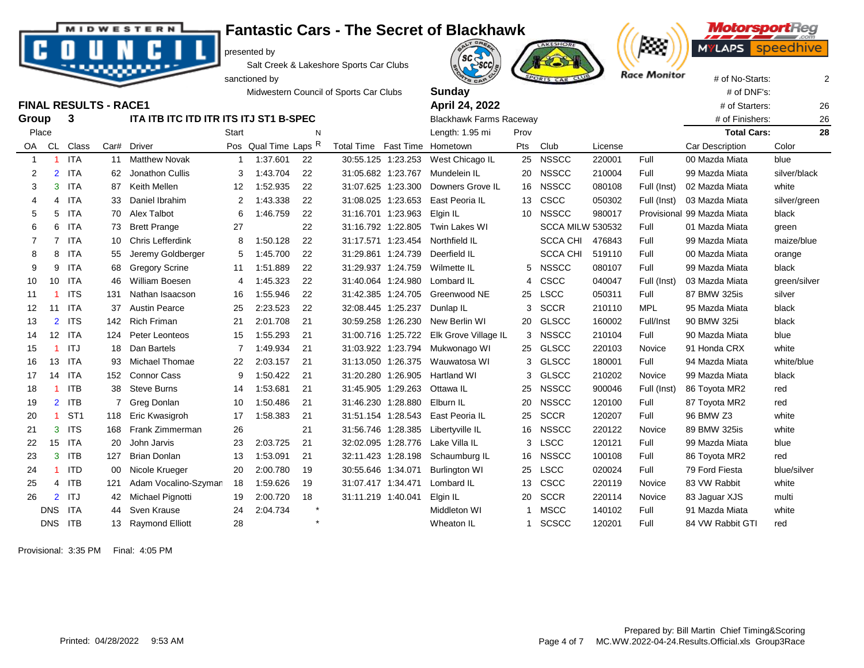## **Fantastic Cars - The Secret of Blackhawk**

presented by

Salt Creek & Lakeshore Sports Car Clubs

Midwestern Council of Sports Car Clubs **Sunday Sunday All and Sunday All and Sunday All and Sunday All and Sunday All and Sunday All and Sunday All and Sunday All and Sunday All and Sunday All and Sun FINAL RESULTS - RACE1** 26

| <b>OA</b>      | CL.            | Class           | Car# | <b>Driver</b>           |                   | Pos Qual Time Laps R |         | <b>Total Time</b>  |          | Fast Time Hometown   | Pts | Club                    | License |             | Car Description            | Color        |
|----------------|----------------|-----------------|------|-------------------------|-------------------|----------------------|---------|--------------------|----------|----------------------|-----|-------------------------|---------|-------------|----------------------------|--------------|
|                |                | <b>ITA</b>      | 11   | <b>Matthew Novak</b>    |                   | 1:37.601             | 22      | 30:55.125          | 1:23.253 | West Chicago IL      | 25  | <b>NSSCC</b>            | 220001  | Full        | 00 Mazda Miata             | blue         |
| 2              | $\overline{2}$ | <b>ITA</b>      | 62   | Jonathon Cullis         | 3                 | 1:43.704             | 22      | 31:05.682 1:23.767 |          | Mundelein IL         | 20  | <b>NSSCC</b>            | 210004  | Full        | 99 Mazda Miata             | silver/black |
| 3              | 3              | ITA             | 87   | Keith Mellen            | $12 \overline{ }$ | 1:52.935             | 22      | 31:07.625 1:23.300 |          | Downers Grove IL     | 16  | <b>NSSCC</b>            | 080108  | Full (Inst) | 02 Mazda Miata             | white        |
| 4              | 4              | ITA             | 33   | Daniel Ibrahim          | 2                 | 1:43.338             | 22      | 31:08.025          | 1:23.653 | East Peoria IL       | 13  | <b>CSCC</b>             | 050302  | Full (Inst) | 03 Mazda Miata             | silver/green |
| 5              | 5              | <b>ITA</b>      | 70.  | Alex Talbot             | 6                 | 1:46.759             | 22      | 31:16.701 1:23.963 |          | Elgin IL             | 10  | <b>NSSCC</b>            | 980017  |             | Provisional 99 Mazda Miata | black        |
| 6              | 6              | ITA             | 73   | <b>Brett Prange</b>     | 27                |                      | 22      | 31:16.792          | 1:22.805 | Twin Lakes WI        |     | <b>SCCA MILW 530532</b> |         | Full        | 01 Mazda Miata             | green        |
| $\overline{7}$ | $\overline{7}$ | <b>ITA</b>      | 10   | <b>Chris Lefferdink</b> | 8                 | 1:50.128             | 22      | 31:17.571 1:23.454 |          | Northfield IL        |     | <b>SCCA CHI</b>         | 476843  | Full        | 99 Mazda Miata             | maize/blue   |
| 8              | 8              | <b>ITA</b>      | 55   | Jeremy Goldberger       | 5                 | 1:45.700             | 22      | 31:29.861 1:24.739 |          | Deerfield IL         |     | <b>SCCA CHI</b>         | 519110  | Full        | 00 Mazda Miata             | orange       |
| 9              | 9              | ITA             | 68   | <b>Gregory Scrine</b>   | 11                | 1:51.889             | 22      | 31:29.937          | 1:24.759 | Wilmette IL          | 5   | <b>NSSCC</b>            | 080107  | Full        | 99 Mazda Miata             | black        |
| 10             | 10             | ITA             | 46   | William Boesen          | 4                 | 1:45.323             | 22      | 31:40.064 1:24.980 |          | Lombard IL           | 4   | <b>CSCC</b>             | 040047  | Full (Inst) | 03 Mazda Miata             | green/silver |
| 11             |                | <b>ITS</b>      | 131  | Nathan Isaacson         | 16                | 1:55.946             | 22      | 31:42.385          | 1:24.705 | Greenwood NE         | 25  | <b>LSCC</b>             | 050311  | Full        | 87 BMW 325is               | silver       |
| 12             | 11             | <b>ITA</b>      | -37  | <b>Austin Pearce</b>    | 25                | 2:23.523             | 22      | 32:08.445 1:25.237 |          | Dunlap IL            | 3   | <b>SCCR</b>             | 210110  | <b>MPL</b>  | 95 Mazda Miata             | black        |
| 13             | $\overline{2}$ | <b>ITS</b>      | 142  | <b>Rich Friman</b>      | 21                | 2:01.708             | 21      | 30:59.258 1:26.230 |          | New Berlin WI        | 20  | <b>GLSCC</b>            | 160002  | Full/Inst   | 90 BMW 325i                | black        |
| 14             | 12             | ITA             | 124  | Peter Leonteos          | 15                | 1:55.293             | 21      | 31:00.716 1:25.722 |          | Elk Grove Village IL | 3   | <b>NSSCC</b>            | 210104  | Full        | 90 Mazda Miata             | blue         |
| 15             |                | ITJ             | 18   | Dan Bartels             |                   | 1:49.934             | 21      | 31:03.922 1:23.794 |          | Mukwonago WI         | 25  | <b>GLSCC</b>            | 220103  | Novice      | 91 Honda CRX               | white        |
| 16             | 13             | ITA             | 93   | Michael Thomae          | 22                | 2:03.157             | 21      | 31:13.050          | 1:26.375 | Wauwatosa WI         | 3   | <b>GLSCC</b>            | 180001  | Full        | 94 Mazda Miata             | white/blue   |
| 17             | 14             | <b>ITA</b>      | 152  | <b>Connor Cass</b>      | 9                 | 1:50.422             | 21      | 31:20.280          | 1:26.905 | Hartland WI          | 3.  | <b>GLSCC</b>            | 210202  | Novice      | 99 Mazda Miata             | black        |
| 18             |                | <b>ITB</b>      | 38   | <b>Steve Burns</b>      | 14                | 1:53.681             | 21      | 31:45.905          | 1:29.263 | Ottawa IL            | 25  | <b>NSSCC</b>            | 900046  | Full (Inst) | 86 Toyota MR2              | red          |
| 19             |                | 2 ITB           |      | Greg Donlan             | 10                | 1:50.486             | 21      | 31:46.230          | 1:28.880 | Elburn IL            | 20  | <b>NSSCC</b>            | 120100  | Full        | 87 Toyota MR2              | red          |
| 20             |                | ST <sub>1</sub> | 118  | Eric Kwasigroh          | 17                | 1:58.383             | 21      | 31:51.154 1:28.543 |          | East Peoria IL       | 25  | <b>SCCR</b>             | 120207  | Full        | 96 BMW Z3                  | white        |
| 21             | 3              | <b>ITS</b>      | 168  | Frank Zimmerman         | 26                |                      | 21      | 31:56.746 1:28.385 |          | Libertyville IL      | 16  | <b>NSSCC</b>            | 220122  | Novice      | 89 BMW 325is               | white        |
| 22             | 15             | <b>ITA</b>      | 20   | John Jarvis             | 23                | 2:03.725             | 21      | 32:02.095 1:28.776 |          | Lake Villa IL        | 3   | <b>LSCC</b>             | 120121  | Full        | 99 Mazda Miata             | blue         |
| 23             | 3              | <b>ITB</b>      | 127  | <b>Brian Donlan</b>     | 13                | 1:53.091             | 21      | 32:11.423 1:28.198 |          | Schaumburg IL        | 16  | <b>NSSCC</b>            | 100108  | Full        | 86 Toyota MR2              | red          |
| 24             |                | <b>ITD</b>      | 00   | Nicole Krueger          | 20                | 2:00.780             | 19      | 30:55.646 1:34.071 |          | <b>Burlington WI</b> | 25  | <b>LSCC</b>             | 020024  | Full        | 79 Ford Fiesta             | blue/silver  |
| 25             |                | 4 ITB           | 121  | Adam Vocalino-Szyman    | 18                | 1:59.626             | 19      | 31:07.417 1:34.471 |          | Lombard IL           | 13  | CSCC                    | 220119  | Novice      | 83 VW Rabbit               | white        |
| 26             | $\overline{2}$ | ITJ             | 42   | Michael Pignotti        | 19                | 2:00.720             | 18      | 31:11.219 1:40.041 |          | Elgin IL             | 20  | <b>SCCR</b>             | 220114  | Novice      | 83 Jaquar XJS              | multi        |
|                | <b>DNS</b>     | ITA             | 44   | Sven Krause             | 24                | 2:04.734             | $\star$ |                    |          | Middleton WI         |     | <b>MSCC</b>             | 140102  | Full        | 91 Mazda Miata             | white        |
|                | <b>DNS</b>     | ITB             | 13   | <b>Raymond Elliott</b>  | 28                |                      | $\star$ |                    |          | Wheaton IL           |     | <b>SCSCC</b>            | 120201  | Full        | 84 VW Rabbit GTI           | red          |

Place **Start Start N** Rength: 1.95 mi Prov **N** Length: 1.95 mi Prov **N** Total Cars: 28

**Group 3 ITA ITB ITC ITD ITR ITS ITJ ST1 B-SPEC** Blackhawk Farms Raceway **Blackhawk Farms Raceway** # of Finishers: 26

**MIDWESTERN** 

Provisional: 3:35 PM Final: 4:05 PM



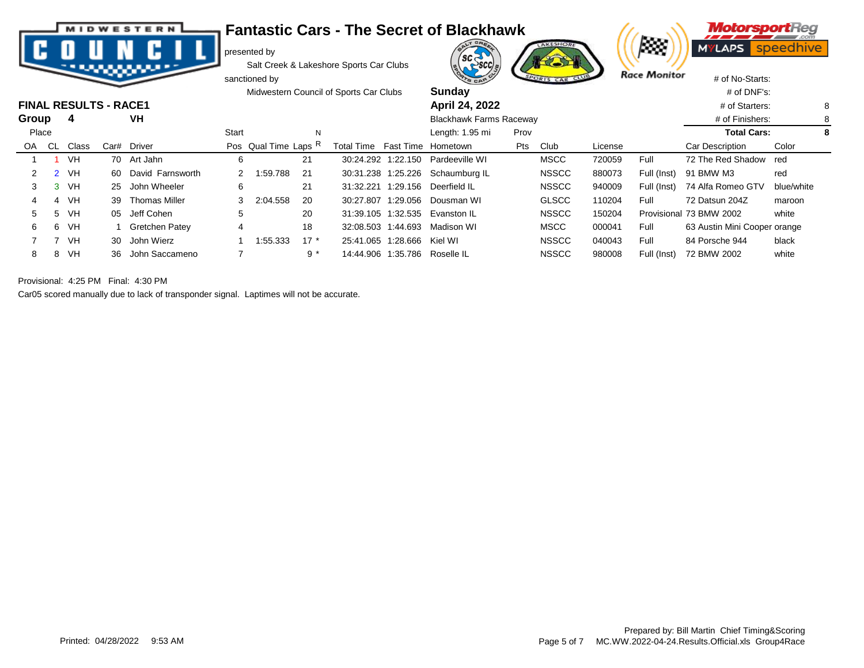|  |  | <b>MIDWESTERN</b> |  |
|--|--|-------------------|--|
|  |  |                   |  |
|  |  |                   |  |
|  |  |                   |  |

## **Fantastic Cars - The Secret of Blackhawk**

presented by

Salt Creek & Lakeshore Sports Car Clubs





|       |       |                              | --   |                       |       | sanctioned by        |        |                                        |                    | <b>PTS CAR</b>                   |      | SPORTS CAR CLUB |         | Race <i>I</i> rionitor | # of No-Starts:              |            |   |
|-------|-------|------------------------------|------|-----------------------|-------|----------------------|--------|----------------------------------------|--------------------|----------------------------------|------|-----------------|---------|------------------------|------------------------------|------------|---|
|       |       |                              |      |                       |       |                      |        | Midwestern Council of Sports Car Clubs |                    | Sunday                           |      |                 |         |                        | $#$ of DNF's:                |            |   |
|       |       | <b>FINAL RESULTS - RACE1</b> |      |                       |       |                      |        |                                        |                    | April 24, 2022                   |      |                 |         |                        | # of Starters:               |            | 8 |
| Group |       | 4                            |      | VH                    |       |                      |        |                                        |                    | <b>Blackhawk Farms Raceway</b>   |      |                 |         |                        | # of Finishers:              |            | 8 |
|       | Place |                              |      |                       | Start |                      | N      |                                        |                    | Length: 1.95 mi                  | Prov |                 |         |                        | <b>Total Cars:</b>           |            | 8 |
| OA.   | CL.   | Class                        | Car# | Driver                |       | Pos Qual Time Laps R |        | Total Time Fast Time Hometown          |                    |                                  | Pts  | Club            | License |                        | Car Description              | Color      |   |
|       |       | VH                           |      | 70 Art Jahn           | 6     |                      | 21     |                                        | 30:24.292 1:22.150 | Pardeeville WI                   |      | <b>MSCC</b>     | 720059  | Full                   | 72 The Red Shadow red        |            |   |
|       |       | VH                           |      | 60 David Farnsworth   |       | 1:59.788             | -21    |                                        |                    | 30:31.238 1:25.226 Schaumburg IL |      | <b>NSSCC</b>    | 880073  | Full (Inst)            | 91 BMW M3                    | red        |   |
|       | 3     | VH                           |      | 25 John Wheeler       | 6     |                      | 21     | 31:32.221                              |                    | 1:29.156 Deerfield IL            |      | <b>NSSCC</b>    | 940009  | Full (Inst)            | 74 Alfa Romeo GTV            | blue/white |   |
|       |       | VH.                          | 39   | Thomas Miller         | 3     | 2:04.558             | 20     |                                        | 30:27.807 1:29.056 | Dousman WI                       |      | <b>GLSCC</b>    | 110204  | Full                   | 72 Datsun 204Z               | maroon     |   |
| 5     | 5     | VH                           | 05   | Jeff Cohen            | 5     |                      | 20     |                                        |                    | 31:39.105 1:32.535 Evanston IL   |      | <b>NSSCC</b>    | 150204  |                        | Provisional 73 BMW 2002      | white      |   |
| 6     | 6     | VH.                          |      | <b>Gretchen Patey</b> | 4     |                      | 18     |                                        | 32:08.503 1:44.693 | Madison WI                       |      | <b>MSCC</b>     | 000041  | Full                   | 63 Austin Mini Cooper orange |            |   |
|       |       | VH                           |      | 30 John Wierz         |       | 1:55.333             | $17 *$ | 25:41.065                              | 1:28.666           | Kiel WI                          |      | <b>NSSCC</b>    | 040043  | Full                   | 84 Porsche 944               | black      |   |
| 8     | 8     | VH                           | 36   | John Saccameno        |       |                      | $9 *$  |                                        |                    | 14:44.906 1:35.786 Roselle IL    |      | <b>NSSCC</b>    | 980008  | Full (Inst)            | 72 BMW 2002                  | white      |   |

Provisional: 4:25 PM Final: 4:30 PM

Car05 scored manually due to lack of transponder signal. Laptimes will not be accurate.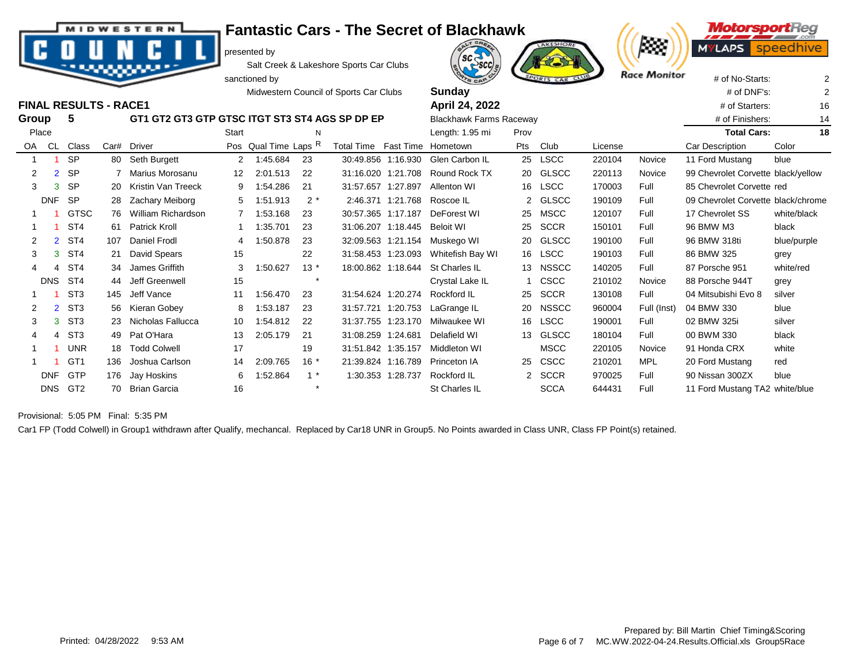| 2 |            | <b>SP</b><br>$\overline{2}$       |     | 7 Marius Morosanu     | 12 <sup>12</sup> | 2:01.513 | -22   | 31:16.020 1:21.708 |                   | Round Rock TX    | 20 | GLSCC       | 220113 | Novice      | 99 Chevrolet Corvette black/yellow |             |
|---|------------|-----------------------------------|-----|-----------------------|------------------|----------|-------|--------------------|-------------------|------------------|----|-------------|--------|-------------|------------------------------------|-------------|
| 3 |            | <b>SP</b><br>3                    |     | 20 Kristin Van Treeck | 9                | 1:54.286 | 21    | 31:57.657 1:27.897 |                   | Allenton WI      |    | 16 LSCC     | 170003 | Full        | 85 Chevrolet Corvette red          |             |
|   | <b>DNF</b> | -SP                               |     | 28 Zachary Meiborg    | 5                | 1.51.913 | $2^*$ |                    | 2:46.371 1:21.768 | Roscoe IL        |    | 2 GLSCC     | 190109 | Full        | 09 Chevrolet Corvette black/chrome |             |
|   |            | <b>GTSC</b>                       |     | 76 William Richardson |                  | 1:53.168 | 23    | 30:57.365 1:17.187 |                   | DeForest WI      | 25 | MSCC        | 120107 | Full        | 17 Chevrolet SS                    | white/black |
|   |            | ST4                               | 61. | Patrick Kroll         |                  | 1:35.701 | 23    | 31:06.207 1:18.445 |                   | Beloit WI        | 25 | SCCR        | 150101 | Full        | 96 BMW M3                          | black       |
| 2 |            | ST <sub>4</sub><br>$\overline{2}$ | 107 | Daniel Frodl          | 4                | 1:50.878 | 23    | 32:09.563 1:21.154 |                   | Muskego WI       | 20 | GLSCC       | 190100 | Full        | 96 BMW 318ti                       | blue/purple |
| 3 |            | ST4<br>3                          |     | 21 David Spears       | 15               |          | 22    | 31:58.453 1:23.093 |                   | Whitefish Bay WI |    | 16 LSCC     | 190103 | Full        | 86 BMW 325                         | grey        |
| 4 |            | ST4<br>4                          | 34  | James Griffith        | 3                | 1:50.627 | $13*$ | 18:00.862 1:18.644 |                   | St Charles IL    |    | 13 NSSCC    | 140205 | Full        | 87 Porsche 951                     | white/red   |
|   | <b>DNS</b> | ST4                               | 44  | Jeff Greenwell        | 15               |          |       |                    |                   | Crystal Lake IL  |    | 1 CSCC      | 210102 | Novice      | 88 Porsche 944T                    | grey        |
|   |            | ST <sub>3</sub>                   | 145 | Jeff Vance            | 11               | 1:56.470 | 23    | 31:54.624 1:20.274 |                   | Rockford IL      | 25 | <b>SCCR</b> | 130108 | Full        | 04 Mitsubishi Evo 8                | silver      |
|   |            | 2 ST3                             |     | 56 Kieran Gobey       | 8                | 1:53.187 | -23   | 31:57.721 1:20.753 |                   | LaGrange IL      |    | 20 NSSCC    | 960004 | Full (Inst) | 04 BMW 330                         | blue        |
| 3 |            | ST <sub>3</sub><br>3              |     | 23 Nicholas Fallucca  | 10               | 1:54.812 | 22    | 31:37.755 1:23.170 |                   | Milwaukee WI     |    | 16 LSCC     | 190001 | Full        | 02 BMW 325i                        | silver      |
| 4 |            | ST <sub>3</sub><br>4              |     | 49 Pat O'Hara         | 13               | 2:05.179 | -21   | 31:08.259 1:24.681 |                   | Delafield WI     |    | 13 GLSCC    | 180104 | Full        | 00 BWM 330                         | black       |
|   |            | <b>UNR</b>                        |     | 18 Todd Colwell       | 17               |          | 19    | 31:51.842 1:35.157 |                   | Middleton WI     |    | <b>MSCC</b> | 220105 | Novice      | 91 Honda CRX                       | white       |
|   |            | GT <sub>1</sub>                   | 136 | Joshua Carlson        | 14               | 2:09.765 | $16*$ | 21:39.824 1:16.789 |                   | Princeton IA     | 25 | <b>CSCC</b> | 210201 | <b>MPL</b>  | 20 Ford Mustang                    | red         |
|   | <b>DNF</b> | <b>GTP</b>                        | 176 | Jay Hoskins           | 6                | 1:52.864 |       |                    | 1:30.353 1:28.737 | Rockford IL      |    | 2 SCCR      | 970025 | Full        | 90 Nissan 300ZX                    | blue        |

DNS GT2 70 Brian Garcia 16  $*$   $*$  St Charles IL SCCA 644431 Full 11 Ford Mustang TA2 white/blue

D

WESTERN

presented by

Salt Creek & Lakeshore Sports Car Clubs

Car1 FP (Todd Colwell) in Group1 withdrawn after Qualify, mechancal. Replaced by Car18 UNR in Group5. No Points awarded in Class UNR, Class FP Point(s) retained.

**Fantastic Cars - The Secret of Blackhawk**



**Motorspo** 

Provisional: 5:05 PM Final: 5:35 PM